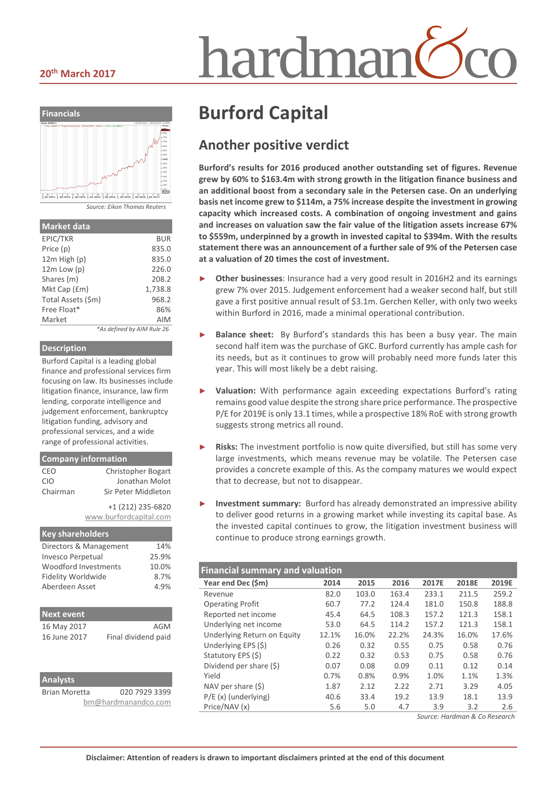#### **20th March 2017**





| Market data |  |  |
|-------------|--|--|

| EPIC/TKR           | BUR                        |
|--------------------|----------------------------|
| Price (p)          | 835.0                      |
| $12m$ High $(p)$   | 835.0                      |
| $12m$ Low $(p)$    | 226.0                      |
| Shares (m)         | 208.2                      |
| Mkt Cap (£m)       | 1,738.8                    |
| Total Assets (\$m) | 968.2                      |
| Free Float*        | 86%                        |
| Market             | AIM                        |
|                    | *As defined by AIM Rule 26 |

#### **Description**

Burford Capital is a leading global finance and professional services firm focusing on law. Its businesses include litigation finance, insurance, law firm lending, corporate intelligence and judgement enforcement, bankruptcy litigation funding, advisory and professional services, and a wide range of professional activities.

#### **Company information**

| CEO      | <b>Christopher Bogart</b> |
|----------|---------------------------|
| CIO      | Jonathan Molot            |
| Chairman | Sir Peter Middleton       |
|          | +1 (212) 235-6820         |
|          | www.burfordcapital.com    |
|          |                           |

| <b>Key shareholders</b>   |       |
|---------------------------|-------|
| Directors & Management    | 14%   |
| <b>Invesco Perpetual</b>  | 25.9% |
| Woodford Investments      | 10.0% |
| <b>Fidelity Worldwide</b> | 8.7%  |
| Aberdeen Asset            | 4.9%  |
|                           |       |

| <b>Next event</b> |                     |
|-------------------|---------------------|
| 16 May 2017       | AGM                 |
| 16 June 2017      | Final dividend paid |

| <b>Analysts</b>      |                     |
|----------------------|---------------------|
| <b>Brian Moretta</b> | 020 7929 3399       |
|                      | bm@hardmanandco.com |

# **Burford Capital**

## **Another positive verdict**

**Burford's results for 2016 produced another outstanding set of figures. Revenue grew by 60% to \$163.4m with strong growth in the litigation finance business and an additional boost from a secondary sale in the Petersen case. On an underlying basis net income grew to \$114m, a 75% increase despite the investment in growing capacity which increased costs. A combination of ongoing investment and gains and increases on valuation saw the fair value of the litigation assets increase 67% to \$559m, underpinned by a growth in invested capital to \$394m. With the results statement there was an announcement of a further sale of 9% of the Petersen case at a valuation of 20 times the cost of investment.**

- **Other businesses:** Insurance had a very good result in 2016H2 and its earnings grew 7% over 2015. Judgement enforcement had a weaker second half, but still gave a first positive annual result of \$3.1m. Gerchen Keller, with only two weeks within Burford in 2016, made a minimal operational contribution.
- **Balance sheet:** By Burford's standards this has been a busy year. The main second half item was the purchase of GKC. Burford currently has ample cash for its needs, but as it continues to grow will probably need more funds later this year. This will most likely be a debt raising.
- ► **Valuation:** With performance again exceeding expectations Burford's rating remains good value despite the strong share price performance. The prospective P/E for 2019E is only 13.1 times, while a prospective 18% RoE with strong growth suggests strong metrics all round.
- **Risks:** The investment portfolio is now quite diversified, but still has some very large investments, which means revenue may be volatile. The Petersen case provides a concrete example of this. As the company matures we would expect that to decrease, but not to disappear.
- **Investment summary:** Burford has already demonstrated an impressive ability to deliver good returns in a growing market while investing its capital base. As the invested capital continues to grow, the litigation investment business will continue to produce strong earnings growth.

| <b>Financial summary and valuation</b> |       |       |       |       |       |       |  |
|----------------------------------------|-------|-------|-------|-------|-------|-------|--|
| Year end Dec (\$m)                     | 2014  | 2015  | 2016  | 2017E | 2018E | 2019E |  |
| Revenue                                | 82.0  | 103.0 | 163.4 | 233.1 | 211.5 | 259.2 |  |
| <b>Operating Profit</b>                | 60.7  | 77.2  | 124.4 | 181.0 | 150.8 | 188.8 |  |
| Reported net income                    | 45.4  | 64.5  | 108.3 | 157.2 | 121.3 | 158.1 |  |
| Underlying net income                  | 53.0  | 64.5  | 114.2 | 157.2 | 121.3 | 158.1 |  |
| Underlying Return on Equity            | 12.1% | 16.0% | 22.2% | 24.3% | 16.0% | 17.6% |  |
| Underlying EPS (\$)                    | 0.26  | 0.32  | 0.55  | 0.75  | 0.58  | 0.76  |  |
| Statutory EPS (\$)                     | 0.22  | 0.32  | 0.53  | 0.75  | 0.58  | 0.76  |  |
| Dividend per share (\$)                | 0.07  | 0.08  | 0.09  | 0.11  | 0.12  | 0.14  |  |
| Yield                                  | 0.7%  | 0.8%  | 0.9%  | 1.0%  | 1.1%  | 1.3%  |  |
| NAV per share $(5)$                    | 1.87  | 2.12  | 2.22  | 2.71  | 3.29  | 4.05  |  |
| $P/E(x)$ (underlying)                  | 40.6  | 33.4  | 19.2  | 13.9  | 18.1  | 13.9  |  |
| Price/NAV (x)                          | 5.6   | 5.0   | 4.7   | 3.9   | 3.2   | 2.6   |  |

*Source: Hardman & Co Research*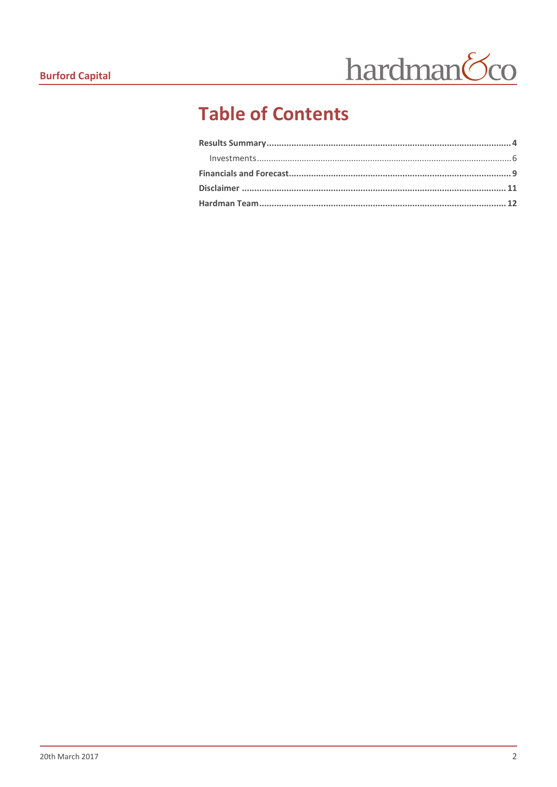

# **Table of Contents**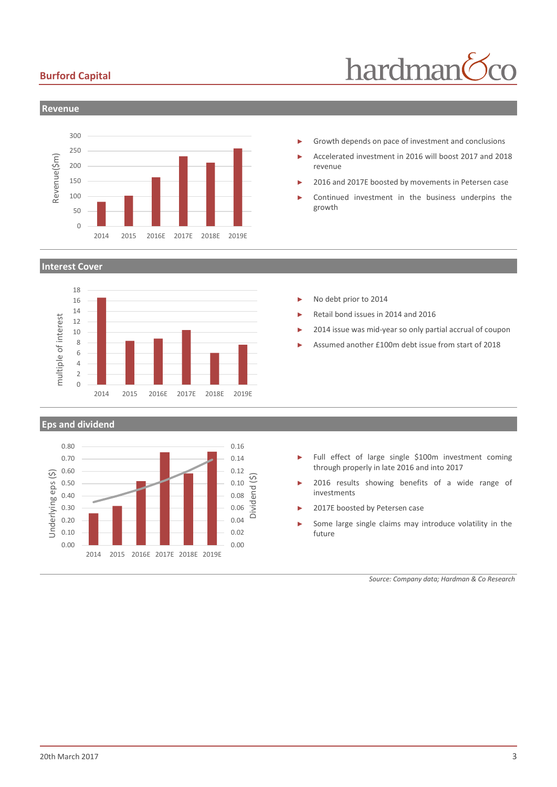### **Burford Capital**





#### **Interest Cover**



#### **Eps and dividend**



- Growth depends on pace of investment and conclusions
- ► Accelerated investment in 2016 will boost 2017 and 2018 revenue
- 2016 and 2017E boosted by movements in Petersen case
- Continued investment in the business underpins the growth

- No debt prior to 2014
- ► Retail bond issues in 2014 and 2016
- 2014 issue was mid-year so only partial accrual of coupon
- ► Assumed another £100m debt issue from start of 2018

- ► Full effect of large single \$100m investment coming through properly in late 2016 and into 2017
- 2016 results showing benefits of a wide range of investments
- 2017E boosted by Petersen case
- Some large single claims may introduce volatility in the future

*Source: Company data; Hardman & Co Research*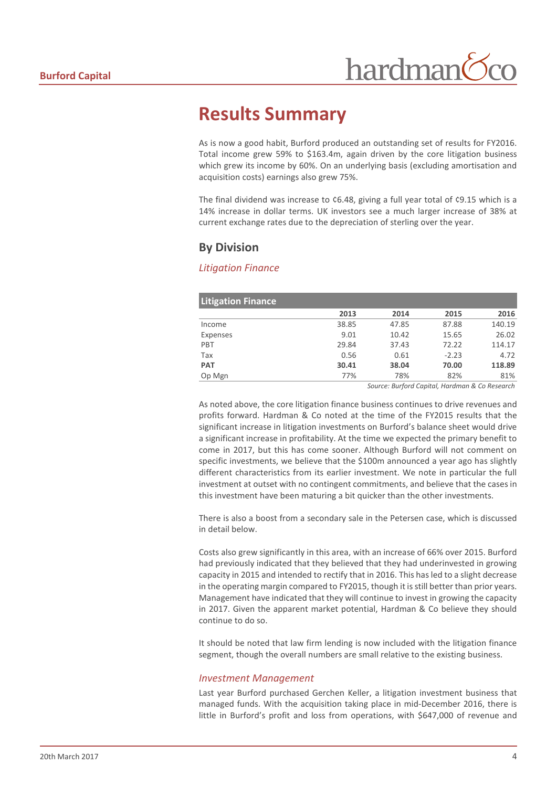## <span id="page-3-0"></span>**Results Summary**

As is now a good habit, Burford produced an outstanding set of results for FY2016. Total income grew 59% to \$163.4m, again driven by the core litigation business which grew its income by 60%. On an underlying basis (excluding amortisation and acquisition costs) earnings also grew 75%.

The final dividend was increase to ¢6.48, giving a full year total of ¢9.15 which is a 14% increase in dollar terms. UK investors see a much larger increase of 38% at current exchange rates due to the depreciation of sterling over the year.

## **By Division**

#### *Litigation Finance*

| <b>Litigation Finance</b> |       |       |         |        |
|---------------------------|-------|-------|---------|--------|
|                           | 2013  | 2014  | 2015    | 2016   |
| Income                    | 38.85 | 47.85 | 87.88   | 140.19 |
| Expenses                  | 9.01  | 10.42 | 15.65   | 26.02  |
| PBT                       | 29.84 | 37.43 | 72.22   | 114.17 |
| Tax                       | 0.56  | 0.61  | $-2.23$ | 4.72   |
| <b>PAT</b>                | 30.41 | 38.04 | 70.00   | 118.89 |
| Op Mgn                    | 77%   | 78%   | 82%     | 81%    |

*Source: Burford Capital, Hardman & Co Research*

As noted above, the core litigation finance business continues to drive revenues and profits forward. Hardman & Co noted at the time of the FY2015 results that the significant increase in litigation investments on Burford's balance sheet would drive a significant increase in profitability. At the time we expected the primary benefit to come in 2017, but this has come sooner. Although Burford will not comment on specific investments, we believe that the \$100m announced a year ago has slightly different characteristics from its earlier investment. We note in particular the full investment at outset with no contingent commitments, and believe that the cases in this investment have been maturing a bit quicker than the other investments.

There is also a boost from a secondary sale in the Petersen case, which is discussed in detail below.

Costs also grew significantly in this area, with an increase of 66% over 2015. Burford had previously indicated that they believed that they had underinvested in growing capacity in 2015 and intended to rectify that in 2016. This has led to a slight decrease in the operating margin compared to FY2015, though it is still better than prior years. Management have indicated that they will continue to invest in growing the capacity in 2017. Given the apparent market potential, Hardman & Co believe they should continue to do so.

It should be noted that law firm lending is now included with the litigation finance segment, though the overall numbers are small relative to the existing business.

#### *Investment Management*

Last year Burford purchased Gerchen Keller, a litigation investment business that managed funds. With the acquisition taking place in mid-December 2016, there is little in Burford's profit and loss from operations, with \$647,000 of revenue and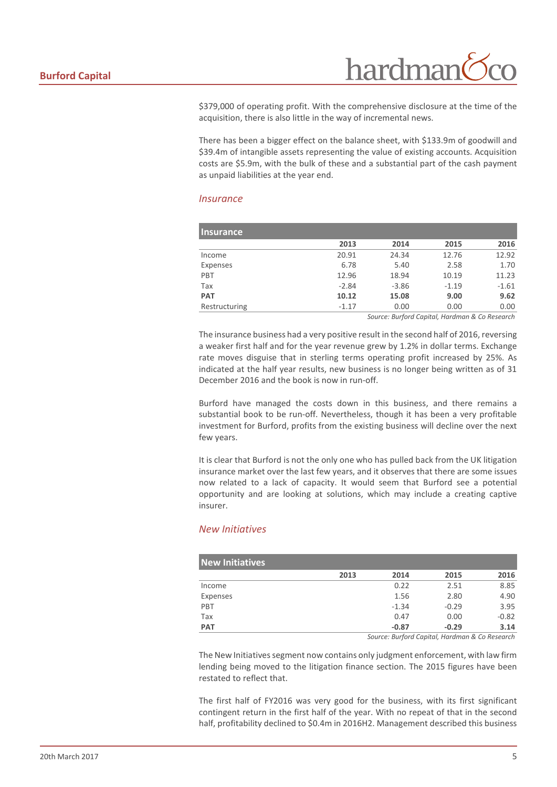hardman

\$379,000 of operating profit. With the comprehensive disclosure at the time of the acquisition, there is also little in the way of incremental news.

There has been a bigger effect on the balance sheet, with \$133.9m of goodwill and \$39.4m of intangible assets representing the value of existing accounts. Acquisition costs are \$5.9m, with the bulk of these and a substantial part of the cash payment as unpaid liabilities at the year end.

#### *Insurance*

| <b>Insurance</b> |         |         |         |         |
|------------------|---------|---------|---------|---------|
|                  | 2013    | 2014    | 2015    | 2016    |
| Income           | 20.91   | 24.34   | 12.76   | 12.92   |
| Expenses         | 6.78    | 5.40    | 2.58    | 1.70    |
| PBT              | 12.96   | 18.94   | 10.19   | 11.23   |
| Tax              | $-2.84$ | $-3.86$ | $-1.19$ | $-1.61$ |
| <b>PAT</b>       | 10.12   | 15.08   | 9.00    | 9.62    |
| Restructuring    | $-1.17$ | 0.00    | 0.00    | 0.00    |

*Source: Burford Capital, Hardman & Co Research*

The insurance business had a very positive result in the second half of 2016, reversing a weaker first half and for the year revenue grew by 1.2% in dollar terms. Exchange rate moves disguise that in sterling terms operating profit increased by 25%. As indicated at the half year results, new business is no longer being written as of 31 December 2016 and the book is now in run-off.

Burford have managed the costs down in this business, and there remains a substantial book to be run-off. Nevertheless, though it has been a very profitable investment for Burford, profits from the existing business will decline over the next few years.

It is clear that Burford is not the only one who has pulled back from the UK litigation insurance market over the last few years, and it observes that there are some issues now related to a lack of capacity. It would seem that Burford see a potential opportunity and are looking at solutions, which may include a creating captive insurer.

#### *New Initiatives*

| <b>New Initiatives</b> |      |                                                |         |         |
|------------------------|------|------------------------------------------------|---------|---------|
|                        | 2013 | 2014                                           | 2015    | 2016    |
| Income                 |      | 0.22                                           | 2.51    | 8.85    |
| Expenses               |      | 1.56                                           | 2.80    | 4.90    |
| PBT                    |      | $-1.34$                                        | $-0.29$ | 3.95    |
| Tax                    |      | 0.47                                           | 0.00    | $-0.82$ |
| <b>PAT</b>             |      | $-0.87$                                        | $-0.29$ | 3.14    |
|                        |      | Source: Burford Capital, Hardman & Co Research |         |         |

The New Initiatives segment now contains only judgment enforcement, with law firm lending being moved to the litigation finance section. The 2015 figures have been restated to reflect that.

The first half of FY2016 was very good for the business, with its first significant contingent return in the first half of the year. With no repeat of that in the second half, profitability declined to \$0.4m in 2016H2. Management described this business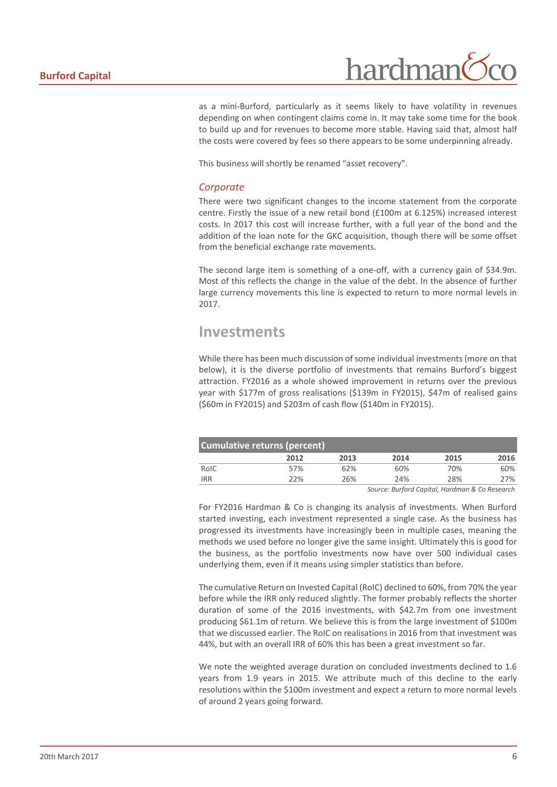

as a mini-Burford, particularly as it seems likely to have volatility in revenues depending on when contingent claims come in. It may take some time for the book to build up and for revenues to become more stable. Having said that, almost half the costs were covered by fees so there appears to be some underpinning already.

This business will shortly be renamed "asset recovery".

#### *Corporate*

There were two significant changes to the income statement from the corporate centre. Firstly the issue of a new retail bond (£100m at 6.125%) increased interest costs. In 2017 this cost will increase further, with a full year of the bond and the addition of the loan note for the GKC acquisition, though there will be some offset from the beneficial exchange rate movements.

The second large item is something of a one-off, with a currency gain of \$34.9m. Most of this reflects the change in the value of the debt. In the absence of further large currency movements this line is expected to return to more normal levels in 2017.

## <span id="page-5-0"></span>**Investments**

While there has been much discussion of some individual investments (more on that below), it is the diverse portfolio of investments that remains Burford's biggest attraction. FY2016 as a whole showed improvement in returns over the previous year with \$177m of gross realisations (\$139m in FY2015), \$47m of realised gains (\$60m in FY2015) and \$203m of cash flow (\$140m in FY2015).

| <b>Cumulative returns (percent)</b> |      |      |      |               |               |  |
|-------------------------------------|------|------|------|---------------|---------------|--|
|                                     | 2012 | 2013 | 2014 | 2015          | 2016          |  |
| RoIC                                | 57%  | 62%  | 60%  | 70%           | 60%           |  |
| <b>IRR</b>                          | 22%  | 26%  | 24%  | 28%           | 27%           |  |
|                                     |      |      |      | _ _ _ _ _ _ _ | $\sim$ $\sim$ |  |

*Source: Burford Capital, Hardman & Co Research*

For FY2016 Hardman & Co is changing its analysis of investments. When Burford started investing, each investment represented a single case. As the business has progressed its investments have increasingly been in multiple cases, meaning the methods we used before no longer give the same insight. Ultimately this is good for the business, as the portfolio investments now have over 500 individual cases underlying them, even if it means using simpler statistics than before.

The cumulative Return on Invested Capital (RoIC) declined to 60%, from 70% the year before while the IRR only reduced slightly. The former probably reflects the shorter duration of some of the 2016 investments, with \$42.7m from one investment producing \$61.1m of return. We believe this is from the large investment of \$100m that we discussed earlier. The RoIC on realisations in 2016 from that investment was 44%, but with an overall IRR of 60% this has been a great investment so far.

We note the weighted average duration on concluded investments declined to 1.6 years from 1.9 years in 2015. We attribute much of this decline to the early resolutions within the \$100m investment and expect a return to more normal levels of around 2 years going forward.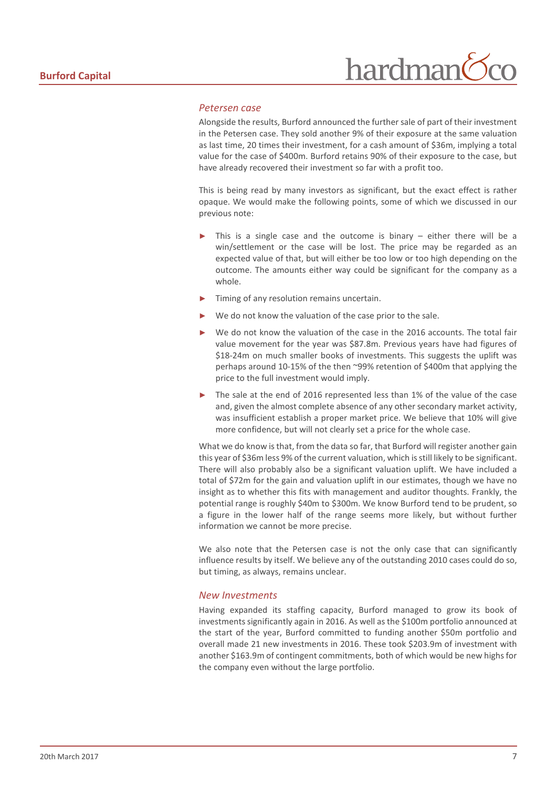#### *Petersen case*

Alongside the results, Burford announced the further sale of part of their investment in the Petersen case. They sold another 9% of their exposure at the same valuation as last time, 20 times their investment, for a cash amount of \$36m, implying a total value for the case of \$400m. Burford retains 90% of their exposure to the case, but have already recovered their investment so far with a profit too.

This is being read by many investors as significant, but the exact effect is rather opaque. We would make the following points, some of which we discussed in our previous note:

- This is a single case and the outcome is binary  $-$  either there will be a win/settlement or the case will be lost. The price may be regarded as an expected value of that, but will either be too low or too high depending on the outcome. The amounts either way could be significant for the company as a whole.
- Timing of any resolution remains uncertain.
- We do not know the valuation of the case prior to the sale.
- We do not know the valuation of the case in the 2016 accounts. The total fair value movement for the year was \$87.8m. Previous years have had figures of \$18-24m on much smaller books of investments. This suggests the uplift was perhaps around 10-15% of the then ~99% retention of \$400m that applying the price to the full investment would imply.
- The sale at the end of 2016 represented less than 1% of the value of the case and, given the almost complete absence of any other secondary market activity, was insufficient establish a proper market price. We believe that 10% will give more confidence, but will not clearly set a price for the whole case.

What we do know is that, from the data so far, that Burford will register another gain this year of \$36m less 9% of the current valuation, which is still likely to be significant. There will also probably also be a significant valuation uplift. We have included a total of \$72m for the gain and valuation uplift in our estimates, though we have no insight as to whether this fits with management and auditor thoughts. Frankly, the potential range is roughly \$40m to \$300m. We know Burford tend to be prudent, so a figure in the lower half of the range seems more likely, but without further information we cannot be more precise.

We also note that the Petersen case is not the only case that can significantly influence results by itself. We believe any of the outstanding 2010 cases could do so, but timing, as always, remains unclear.

#### *New Investments*

Having expanded its staffing capacity, Burford managed to grow its book of investments significantly again in 2016. As well as the \$100m portfolio announced at the start of the year, Burford committed to funding another \$50m portfolio and overall made 21 new investments in 2016. These took \$203.9m of investment with another \$163.9m of contingent commitments, both of which would be new highs for the company even without the large portfolio.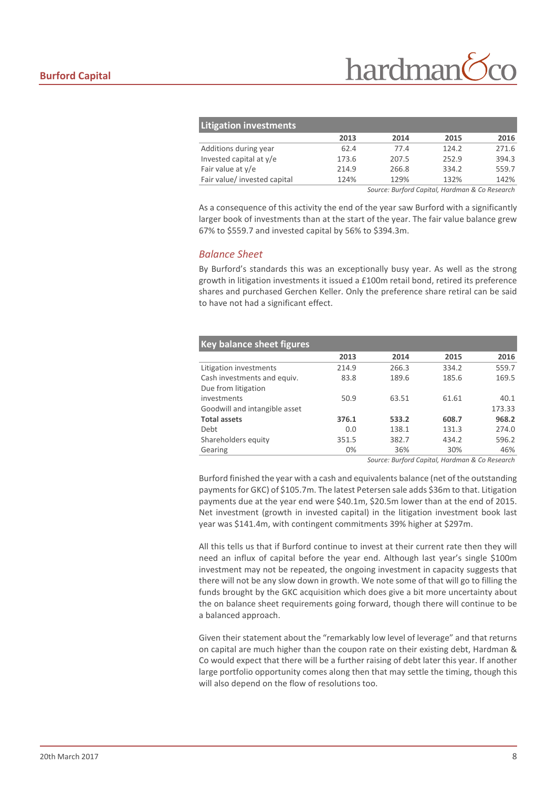| <b>Litigation investments</b> |       |       |       |       |
|-------------------------------|-------|-------|-------|-------|
|                               | 2013  | 2014  | 2015  | 2016  |
| Additions during year         | 62.4  | 77.4  | 124.2 | 271.6 |
| Invested capital at y/e       | 173.6 | 207.5 | 252.9 | 394.3 |
| Fair value at y/e             | 214.9 | 266.8 | 334.2 | 559.7 |
| Fair value/ invested capital  | 124%  | 129%  | 132%  | 142%  |
|                               |       |       |       |       |

*Source: Burford Capital, Hardman & Co Research*

As a consequence of this activity the end of the year saw Burford with a significantly larger book of investments than at the start of the year. The fair value balance grew 67% to \$559.7 and invested capital by 56% to \$394.3m.

#### *Balance Sheet*

By Burford's standards this was an exceptionally busy year. As well as the strong growth in litigation investments it issued a £100m retail bond, retired its preference shares and purchased Gerchen Keller. Only the preference share retiral can be said to have not had a significant effect.

| <b>Key balance sheet figures</b> |       |       |       |        |
|----------------------------------|-------|-------|-------|--------|
|                                  | 2013  | 2014  | 2015  | 2016   |
| Litigation investments           | 214.9 | 266.3 | 334.2 | 559.7  |
| Cash investments and equiv.      | 83.8  | 189.6 | 185.6 | 169.5  |
| Due from litigation              |       |       |       |        |
| investments                      | 50.9  | 63.51 | 61.61 | 40.1   |
| Goodwill and intangible asset    |       |       |       | 173.33 |
| <b>Total assets</b>              | 376.1 | 533.2 | 608.7 | 968.2  |
| Debt                             | 0.0   | 138.1 | 131.3 | 274.0  |
| Shareholders equity              | 351.5 | 382.7 | 434.2 | 596.2  |
| Gearing                          | 0%    | 36%   | 30%   | 46%    |
|                                  |       |       |       |        |

*Source: Burford Capital, Hardman & Co Research*

Burford finished the year with a cash and equivalents balance (net of the outstanding payments for GKC) of \$105.7m. The latest Petersen sale adds \$36m to that. Litigation payments due at the year end were \$40.1m, \$20.5m lower than at the end of 2015. Net investment (growth in invested capital) in the litigation investment book last year was \$141.4m, with contingent commitments 39% higher at \$297m.

All this tells us that if Burford continue to invest at their current rate then they will need an influx of capital before the year end. Although last year's single \$100m investment may not be repeated, the ongoing investment in capacity suggests that there will not be any slow down in growth. We note some of that will go to filling the funds brought by the GKC acquisition which does give a bit more uncertainty about the on balance sheet requirements going forward, though there will continue to be a balanced approach.

Given their statement about the "remarkably low level of leverage" and that returns on capital are much higher than the coupon rate on their existing debt, Hardman & Co would expect that there will be a further raising of debt later this year. If another large portfolio opportunity comes along then that may settle the timing, though this will also depend on the flow of resolutions too.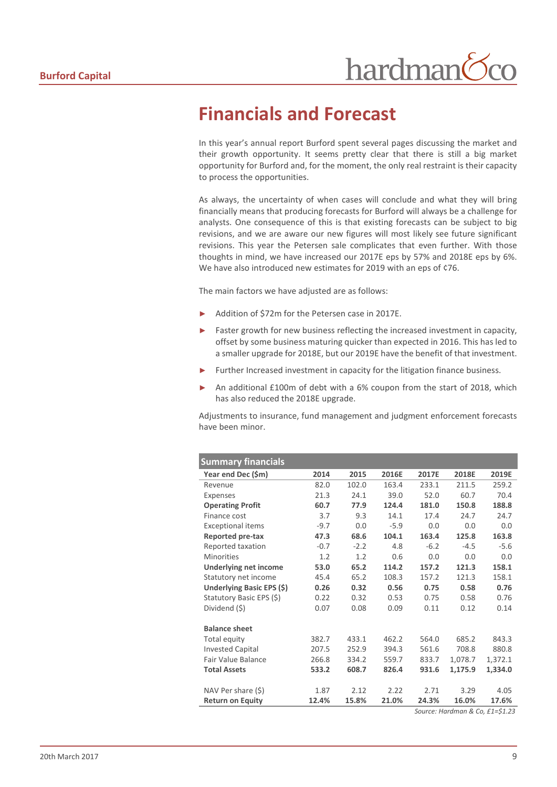## <span id="page-8-0"></span>**Financials and Forecast**

In this year's annual report Burford spent several pages discussing the market and their growth opportunity. It seems pretty clear that there is still a big market opportunity for Burford and, for the moment, the only real restraint is their capacity to process the opportunities.

As always, the uncertainty of when cases will conclude and what they will bring financially means that producing forecasts for Burford will always be a challenge for analysts. One consequence of this is that existing forecasts can be subject to big revisions, and we are aware our new figures will most likely see future significant revisions. This year the Petersen sale complicates that even further. With those thoughts in mind, we have increased our 2017E eps by 57% and 2018E eps by 6%. We have also introduced new estimates for 2019 with an eps of ¢76.

The main factors we have adjusted are as follows:

- Addition of \$72m for the Petersen case in 2017E.
- Faster growth for new business reflecting the increased investment in capacity, offset by some business maturing quicker than expected in 2016. This has led to a smaller upgrade for 2018E, but our 2019E have the benefit of that investment.
- Further Increased investment in capacity for the litigation finance business.
- An additional £100m of debt with a 6% coupon from the start of 2018, which has also reduced the 2018E upgrade.

Adjustments to insurance, fund management and judgment enforcement forecasts have been minor.

| <b>Summary financials</b>        |        |        |        |        |         |                                                                                                                         |
|----------------------------------|--------|--------|--------|--------|---------|-------------------------------------------------------------------------------------------------------------------------|
| Year end Dec (\$m)               | 2014   | 2015   | 2016E  | 2017E  | 2018E   | 2019E                                                                                                                   |
| Revenue                          | 82.0   | 102.0  | 163.4  | 233.1  | 211.5   | 259.2                                                                                                                   |
| Expenses                         | 21.3   | 24.1   | 39.0   | 52.0   | 60.7    | 70.4                                                                                                                    |
| <b>Operating Profit</b>          | 60.7   | 77.9   | 124.4  | 181.0  | 150.8   | 188.8                                                                                                                   |
| Finance cost                     | 3.7    | 9.3    | 14.1   | 17.4   | 24.7    | 24.7                                                                                                                    |
| <b>Exceptional items</b>         | $-9.7$ | 0.0    | $-5.9$ | 0.0    | 0.0     | 0.0                                                                                                                     |
| Reported pre-tax                 | 47.3   | 68.6   | 104.1  | 163.4  | 125.8   | 163.8                                                                                                                   |
| Reported taxation                | $-0.7$ | $-2.2$ | 4.8    | $-6.2$ | $-4.5$  | $-5.6$                                                                                                                  |
| <b>Minorities</b>                | 1.2    | 1.2    | 0.6    | 0.0    | 0.0     | 0.0                                                                                                                     |
| <b>Underlying net income</b>     | 53.0   | 65.2   | 114.2  | 157.2  | 121.3   | 158.1                                                                                                                   |
| Statutory net income             | 45.4   | 65.2   | 108.3  | 157.2  | 121.3   | 158.1                                                                                                                   |
| <b>Underlying Basic EPS (\$)</b> | 0.26   | 0.32   | 0.56   | 0.75   | 0.58    | 0.76                                                                                                                    |
| Statutory Basic EPS (\$)         | 0.22   | 0.32   | 0.53   | 0.75   | 0.58    | 0.76                                                                                                                    |
| Dividend (\$)                    | 0.07   | 0.08   | 0.09   | 0.11   | 0.12    | 0.14                                                                                                                    |
|                                  |        |        |        |        |         |                                                                                                                         |
| <b>Balance sheet</b>             |        |        |        |        |         |                                                                                                                         |
| Total equity                     | 382.7  | 433.1  | 462.2  | 564.0  | 685.2   | 843.3                                                                                                                   |
| <b>Invested Capital</b>          | 207.5  | 252.9  | 394.3  | 561.6  | 708.8   | 880.8                                                                                                                   |
| <b>Fair Value Balance</b>        | 266.8  | 334.2  | 559.7  | 833.7  | 1,078.7 | 1,372.1                                                                                                                 |
| <b>Total Assets</b>              | 533.2  | 608.7  | 826.4  | 931.6  | 1,175.9 | 1,334.0                                                                                                                 |
|                                  |        |        |        |        |         |                                                                                                                         |
| NAV Per share (\$)               | 1.87   | 2.12   | 2.22   | 2.71   | 3.29    | 4.05                                                                                                                    |
| <b>Return on Equity</b>          | 12.4%  | 15.8%  | 21.0%  | 24.3%  | 16.0%   | 17.6%                                                                                                                   |
|                                  |        |        |        |        |         | $Ca1$ $Ca2$ $Ca2$ $Ca2$ $Ca2$ $Ca2$ $Ca2$ $Ca2$ $Ca2$ $Ca2$ $Ca2$ $Ca2$ $Ca2$ $Ca2$ $Ca2$ $Ca2$ $Ca2$ $Ca2$ $Ca2$ $Ca2$ |

*Source: Hardman & Co, £1=\$1.23*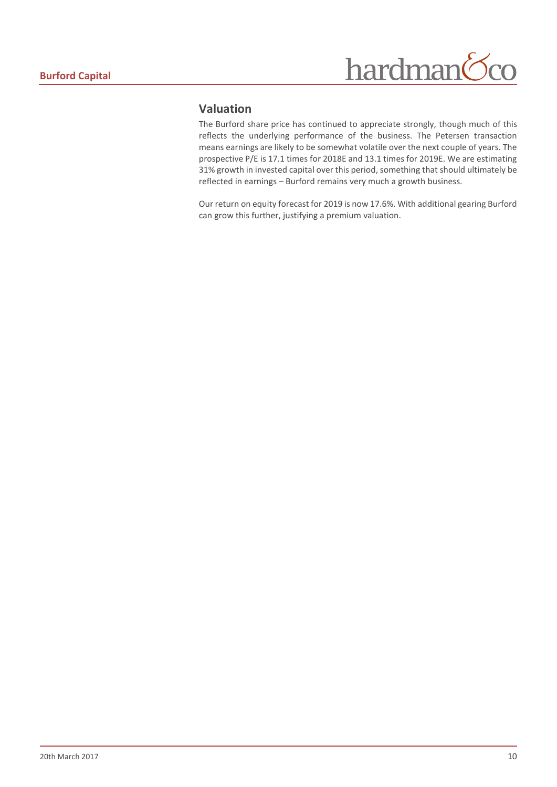## hardman  $\overline{O}$

## **Valuation**

The Burford share price has continued to appreciate strongly, though much of this reflects the underlying performance of the business. The Petersen transaction means earnings are likely to be somewhat volatile over the next couple of years. The prospective P/E is 17.1 times for 2018E and 13.1 times for 2019E. We are estimating 31% growth in invested capital over this period, something that should ultimately be reflected in earnings – Burford remains very much a growth business.

Our return on equity forecast for 2019 is now 17.6%. With additional gearing Burford can grow this further, justifying a premium valuation.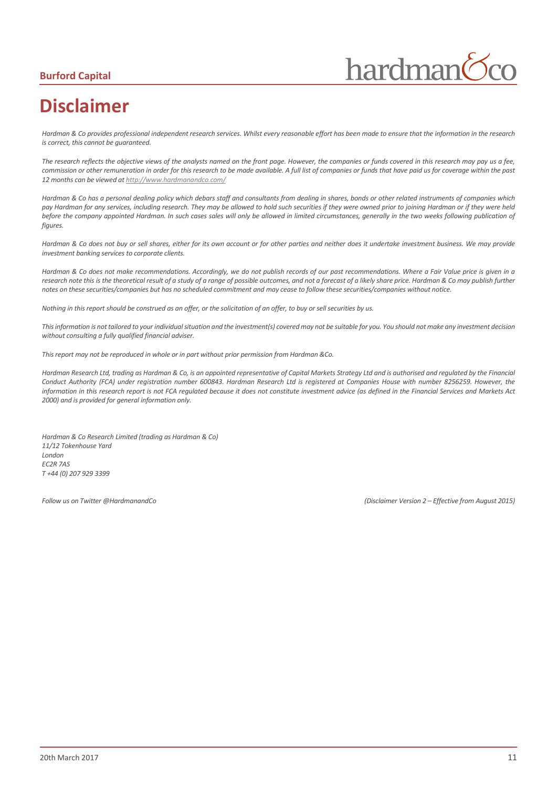## **Burford Capital**

hardman

# <span id="page-10-0"></span>**Disclaimer**

*Hardman & Co provides professional independent research services. Whilst every reasonable effort has been made to ensure that the information in the research is correct, this cannot be guaranteed.*

*The research reflects the objective views of the analysts named on the front page. However, the companies or funds covered in this research may pay us a fee, commission or other remuneration in order for this research to be made available. A full list of companies or funds that have paid us for coverage within the past 12 months can be viewed a[t http://www.hardmanandco.com/](http://www.hardmanandco.com/)*

*Hardman & Co has a personal dealing policy which debars staff and consultants from dealing in shares, bonds or other related instruments of companies which pay Hardman for any services, including research. They may be allowed to hold such securities if they were owned prior to joining Hardman or if they were held before the company appointed Hardman. In such cases sales will only be allowed in limited circumstances, generally in the two weeks following publication of figures.* 

Hardman & Co does not buy or sell shares, either for its own account or for other parties and neither does it undertake investment business. We may provide *investment banking services to corporate clients.* 

*Hardman & Co does not make recommendations. Accordingly, we do not publish records of our past recommendations. Where a Fair Value price is given in a*  research note this is the theoretical result of a study of a range of possible outcomes, and not a forecast of a likely share price. Hardman & Co may publish further *notes on these securities/companies but has no scheduled commitment and may cease to follow these securities/companies without notice.*

*Nothing in this report should be construed as an offer, or the solicitation of an offer, to buy or sell securities by us.*

*This information is not tailored to your individual situation and the investment(s) covered may not be suitable for you. You should not make any investment decision without consulting a fully qualified financial adviser.*

*This report may not be reproduced in whole or in part without prior permission from Hardman &Co.*

*Hardman Research Ltd, trading as Hardman & Co, is an appointed representative of Capital Markets Strategy Ltd and is authorised and regulated by the Financial Conduct Authority (FCA) under registration number 600843. Hardman Research Ltd is registered at Companies House with number 8256259. However, the information in this research report is not FCA regulated because it does not constitute investment advice (as defined in the Financial Services and Markets Act 2000) and is provided for general information only.*

*Hardman & Co Research Limited (trading as Hardman & Co) 11/12 Tokenhouse Yard London EC2R 7AS T +44 (0) 207 929 3399*

*Follow us on Twitter @HardmanandCo (Disclaimer Version 2 – Effective from August 2015)*